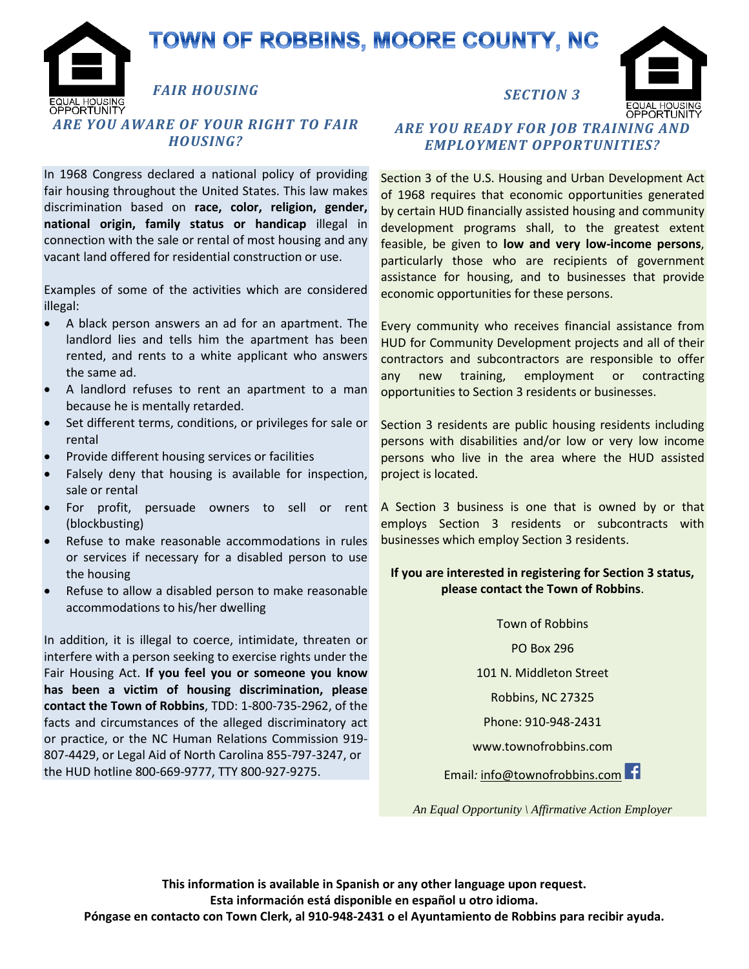## TOWN OF ROBBINS, MOORE COUNTY, NC

*FAIR HOUSING ARE YOU AWARE OF YOUR RIGHT TO FAIR HOUSING?*

In 1968 Congress declared a national policy of providing fair housing throughout the United States. This law makes discrimination based on **race, color, religion, gender, national origin, family status or handicap** illegal in connection with the sale or rental of most housing and any vacant land offered for residential construction or use.

Examples of some of the activities which are considered illegal:

- A black person answers an ad for an apartment. The landlord lies and tells him the apartment has been rented, and rents to a white applicant who answers the same ad.
- A landlord refuses to rent an apartment to a man because he is mentally retarded.
- Set different terms, conditions, or privileges for sale or rental
- Provide different housing services or facilities
- Falsely deny that housing is available for inspection, sale or rental
- For profit, persuade owners to sell or rent (blockbusting)
- Refuse to make reasonable accommodations in rules or services if necessary for a disabled person to use the housing
- Refuse to allow a disabled person to make reasonable accommodations to his/her dwelling

In addition, it is illegal to coerce, intimidate, threaten or interfere with a person seeking to exercise rights under the Fair Housing Act. **If you feel you or someone you know has been a victim of housing discrimination, please contact the Town of Robbins**, TDD: 1-800-735-2962, of the facts and circumstances of the alleged discriminatory act or practice, or the NC Human Relations Commission 919- 807-4429, or Legal Aid of North Carolina 855-797-3247, or the HUD hotline 800-669-9777, TTY 800-927-9275.



ORTUNITY

## *ARE YOU READY FOR JOB TRAINING AND EMPLOYMENT OPPORTUNITIES?*

Section 3 of the U.S. Housing and Urban Development Act of 1968 requires that economic opportunities generated by certain HUD financially assisted housing and community development programs shall, to the greatest extent feasible, be given to **low and very low-income persons**, particularly those who are recipients of government assistance for housing, and to businesses that provide economic opportunities for these persons.

Every community who receives financial assistance from HUD for Community Development projects and all of their contractors and subcontractors are responsible to offer any new training, employment or contracting opportunities to Section 3 residents or businesses.

Section 3 residents are public housing residents including persons with disabilities and/or low or very low income persons who live in the area where the HUD assisted project is located.

A Section 3 business is one that is owned by or that employs Section 3 residents or subcontracts with businesses which employ Section 3 residents.

## **If you are interested in registering for Section 3 status, please contact the Town of Robbins**.

Town of Robbins PO Box 296

101 N. Middleton Street

Robbins, NC 27325

Phone: 910-948-2431

www.townofrobbins.com

Email*:* info@townofrobbins.com

*An Equal Opportunity \ Affirmative Action Employer*

**This information is available in Spanish or any other language upon request. Esta información está disponible en español u otro idioma. Póngase en contacto con Town Clerk, al 910-948-2431 o el Ayuntamiento de Robbins para recibir ayuda.**